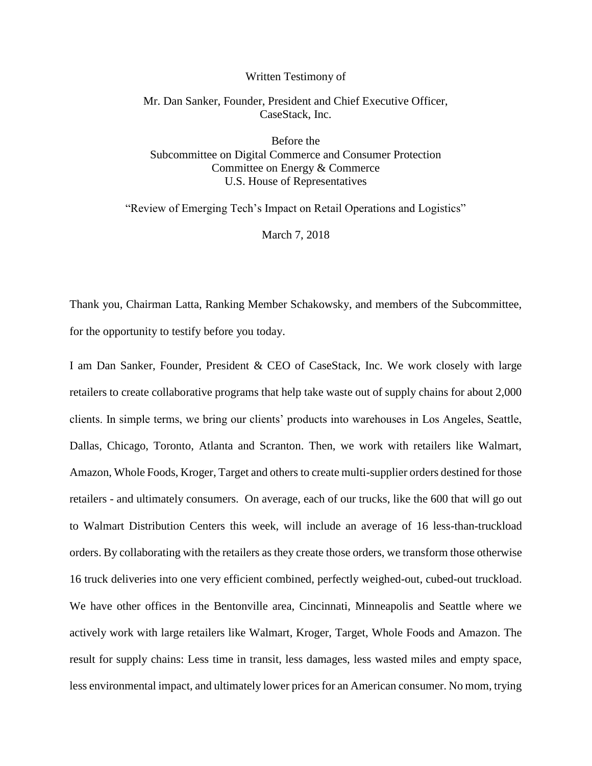## Written Testimony of

## Mr. Dan Sanker, Founder, President and Chief Executive Officer, CaseStack, Inc.

Before the Subcommittee on Digital Commerce and Consumer Protection Committee on Energy & Commerce U.S. House of Representatives

"Review of Emerging Tech's Impact on Retail Operations and Logistics"

March 7, 2018

Thank you, Chairman Latta, Ranking Member Schakowsky, and members of the Subcommittee, for the opportunity to testify before you today.

I am Dan Sanker, Founder, President & CEO of CaseStack, Inc. We work closely with large retailers to create collaborative programs that help take waste out of supply chains for about 2,000 clients. In simple terms, we bring our clients' products into warehouses in Los Angeles, Seattle, Dallas, Chicago, Toronto, Atlanta and Scranton. Then, we work with retailers like Walmart, Amazon, Whole Foods, Kroger, Target and others to create multi-supplier orders destined for those retailers - and ultimately consumers. On average, each of our trucks, like the 600 that will go out to Walmart Distribution Centers this week, will include an average of 16 less-than-truckload orders. By collaborating with the retailers as they create those orders, we transform those otherwise 16 truck deliveries into one very efficient combined, perfectly weighed-out, cubed-out truckload. We have other offices in the Bentonville area, Cincinnati, Minneapolis and Seattle where we actively work with large retailers like Walmart, Kroger, Target, Whole Foods and Amazon. The result for supply chains: Less time in transit, less damages, less wasted miles and empty space, less environmental impact, and ultimately lower prices for an American consumer. No mom, trying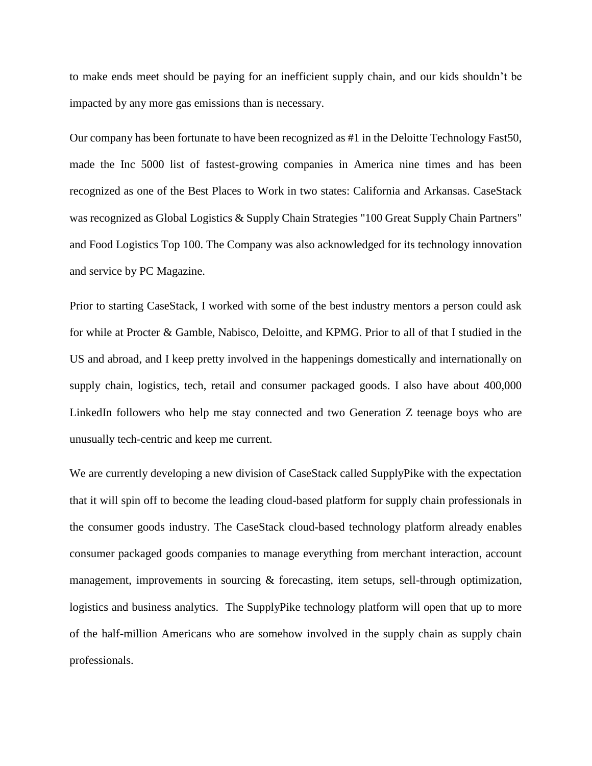to make ends meet should be paying for an inefficient supply chain, and our kids shouldn't be impacted by any more gas emissions than is necessary.

Our company has been fortunate to have been recognized as #1 in the Deloitte Technology Fast50, made the Inc 5000 list of fastest-growing companies in America nine times and has been recognized as one of the Best Places to Work in two states: California and Arkansas. CaseStack was recognized as Global Logistics & Supply Chain Strategies "100 Great Supply Chain Partners" and Food Logistics Top 100. The Company was also acknowledged for its technology innovation and service by PC Magazine.

Prior to starting CaseStack, I worked with some of the best industry mentors a person could ask for while at Procter & Gamble, Nabisco, Deloitte, and KPMG. Prior to all of that I studied in the US and abroad, and I keep pretty involved in the happenings domestically and internationally on supply chain, logistics, tech, retail and consumer packaged goods. I also have about 400,000 LinkedIn followers who help me stay connected and two Generation Z teenage boys who are unusually tech-centric and keep me current.

We are currently developing a new division of CaseStack called SupplyPike with the expectation that it will spin off to become the leading cloud-based platform for supply chain professionals in the consumer goods industry. The CaseStack cloud-based technology platform already enables consumer packaged goods companies to manage everything from merchant interaction, account management, improvements in sourcing & forecasting, item setups, sell-through optimization, logistics and business analytics. The SupplyPike technology platform will open that up to more of the half-million Americans who are somehow involved in the supply chain as supply chain professionals.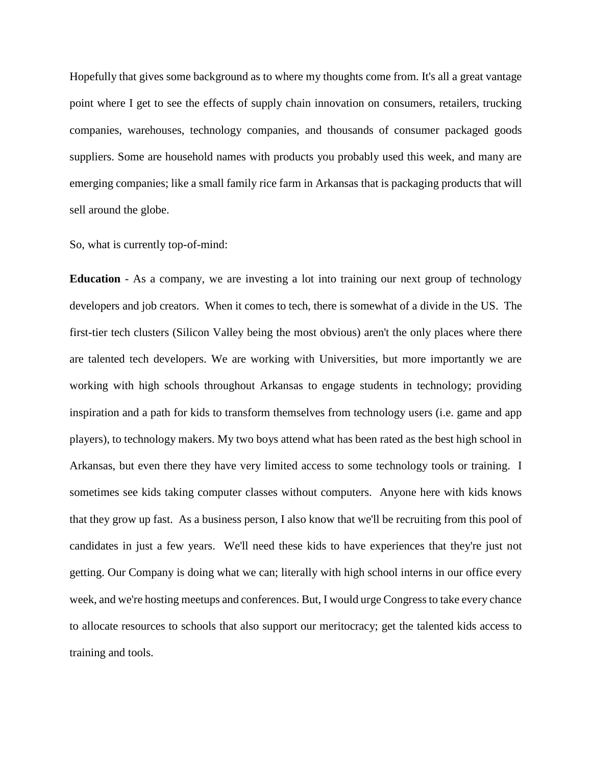Hopefully that gives some background as to where my thoughts come from. It's all a great vantage point where I get to see the effects of supply chain innovation on consumers, retailers, trucking companies, warehouses, technology companies, and thousands of consumer packaged goods suppliers. Some are household names with products you probably used this week, and many are emerging companies; like a small family rice farm in Arkansas that is packaging products that will sell around the globe.

So, what is currently top-of-mind:

**Education** - As a company, we are investing a lot into training our next group of technology developers and job creators. When it comes to tech, there is somewhat of a divide in the US. The first-tier tech clusters (Silicon Valley being the most obvious) aren't the only places where there are talented tech developers. We are working with Universities, but more importantly we are working with high schools throughout Arkansas to engage students in technology; providing inspiration and a path for kids to transform themselves from technology users (i.e. game and app players), to technology makers. My two boys attend what has been rated as the best high school in Arkansas, but even there they have very limited access to some technology tools or training. I sometimes see kids taking computer classes without computers. Anyone here with kids knows that they grow up fast. As a business person, I also know that we'll be recruiting from this pool of candidates in just a few years. We'll need these kids to have experiences that they're just not getting. Our Company is doing what we can; literally with high school interns in our office every week, and we're hosting meetups and conferences. But, I would urge Congress to take every chance to allocate resources to schools that also support our meritocracy; get the talented kids access to training and tools.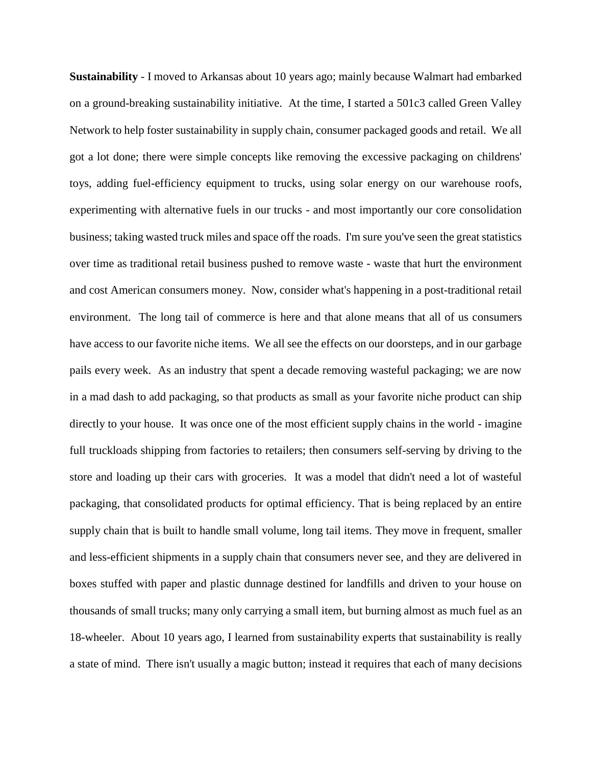**Sustainability** - I moved to Arkansas about 10 years ago; mainly because Walmart had embarked on a ground-breaking sustainability initiative. At the time, I started a 501c3 called Green Valley Network to help foster sustainability in supply chain, consumer packaged goods and retail. We all got a lot done; there were simple concepts like removing the excessive packaging on childrens' toys, adding fuel-efficiency equipment to trucks, using solar energy on our warehouse roofs, experimenting with alternative fuels in our trucks - and most importantly our core consolidation business; taking wasted truck miles and space off the roads. I'm sure you've seen the great statistics over time as traditional retail business pushed to remove waste - waste that hurt the environment and cost American consumers money. Now, consider what's happening in a post-traditional retail environment. The long tail of commerce is here and that alone means that all of us consumers have access to our favorite niche items. We all see the effects on our doorsteps, and in our garbage pails every week. As an industry that spent a decade removing wasteful packaging; we are now in a mad dash to add packaging, so that products as small as your favorite niche product can ship directly to your house. It was once one of the most efficient supply chains in the world - imagine full truckloads shipping from factories to retailers; then consumers self-serving by driving to the store and loading up their cars with groceries. It was a model that didn't need a lot of wasteful packaging, that consolidated products for optimal efficiency. That is being replaced by an entire supply chain that is built to handle small volume, long tail items. They move in frequent, smaller and less-efficient shipments in a supply chain that consumers never see, and they are delivered in boxes stuffed with paper and plastic dunnage destined for landfills and driven to your house on thousands of small trucks; many only carrying a small item, but burning almost as much fuel as an 18-wheeler. About 10 years ago, I learned from sustainability experts that sustainability is really a state of mind. There isn't usually a magic button; instead it requires that each of many decisions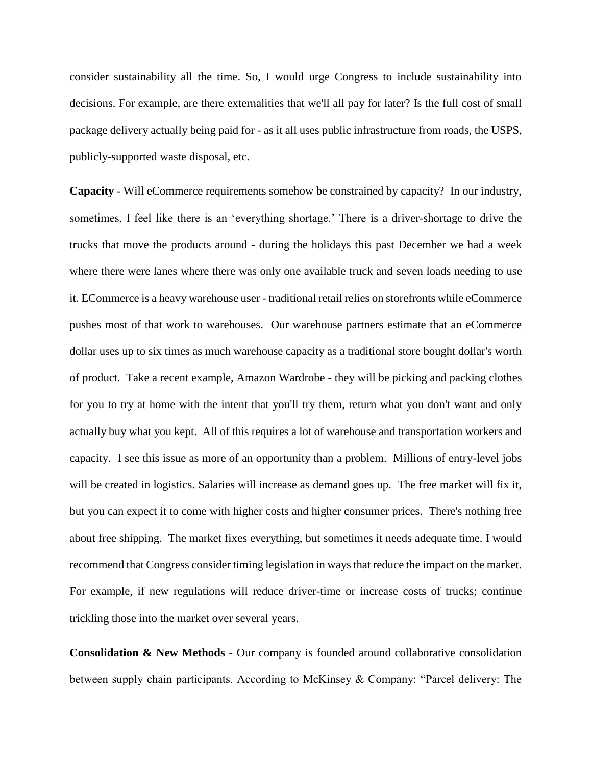consider sustainability all the time. So, I would urge Congress to include sustainability into decisions. For example, are there externalities that we'll all pay for later? Is the full cost of small package delivery actually being paid for - as it all uses public infrastructure from roads, the USPS, publicly-supported waste disposal, etc.

**Capacity** - Will eCommerce requirements somehow be constrained by capacity? In our industry, sometimes, I feel like there is an 'everything shortage.' There is a driver-shortage to drive the trucks that move the products around - during the holidays this past December we had a week where there were lanes where there was only one available truck and seven loads needing to use it. ECommerce is a heavy warehouse user - traditional retail relies on storefronts while eCommerce pushes most of that work to warehouses. Our warehouse partners estimate that an eCommerce dollar uses up to six times as much warehouse capacity as a traditional store bought dollar's worth of product. Take a recent example, Amazon Wardrobe - they will be picking and packing clothes for you to try at home with the intent that you'll try them, return what you don't want and only actually buy what you kept. All of this requires a lot of warehouse and transportation workers and capacity. I see this issue as more of an opportunity than a problem. Millions of entry-level jobs will be created in logistics. Salaries will increase as demand goes up. The free market will fix it, but you can expect it to come with higher costs and higher consumer prices. There's nothing free about free shipping. The market fixes everything, but sometimes it needs adequate time. I would recommend that Congress consider timing legislation in ways that reduce the impact on the market. For example, if new regulations will reduce driver-time or increase costs of trucks; continue trickling those into the market over several years.

**Consolidation & New Methods** - Our company is founded around collaborative consolidation between supply chain participants. According to McKinsey & Company: "Parcel delivery: The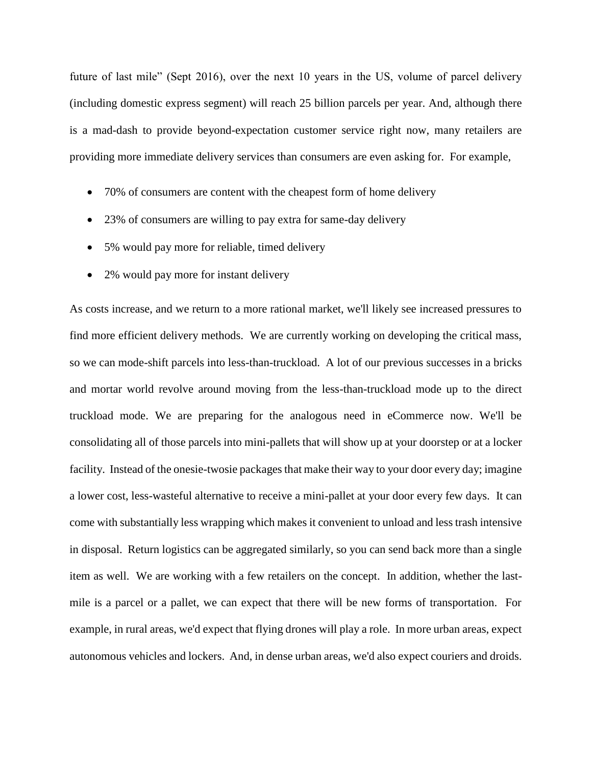future of last mile" (Sept 2016), over the next 10 years in the US, volume of parcel delivery (including domestic express segment) will reach 25 billion parcels per year. And, although there is a mad-dash to provide beyond-expectation customer service right now, many retailers are providing more immediate delivery services than consumers are even asking for. For example,

- 70% of consumers are content with the cheapest form of home delivery
- 23% of consumers are willing to pay extra for same-day delivery
- 5% would pay more for reliable, timed delivery
- 2% would pay more for instant delivery

As costs increase, and we return to a more rational market, we'll likely see increased pressures to find more efficient delivery methods. We are currently working on developing the critical mass, so we can mode-shift parcels into less-than-truckload. A lot of our previous successes in a bricks and mortar world revolve around moving from the less-than-truckload mode up to the direct truckload mode. We are preparing for the analogous need in eCommerce now. We'll be consolidating all of those parcels into mini-pallets that will show up at your doorstep or at a locker facility. Instead of the onesie-twosie packages that make their way to your door every day; imagine a lower cost, less-wasteful alternative to receive a mini-pallet at your door every few days. It can come with substantially less wrapping which makes it convenient to unload and less trash intensive in disposal. Return logistics can be aggregated similarly, so you can send back more than a single item as well. We are working with a few retailers on the concept. In addition, whether the lastmile is a parcel or a pallet, we can expect that there will be new forms of transportation. For example, in rural areas, we'd expect that flying drones will play a role. In more urban areas, expect autonomous vehicles and lockers. And, in dense urban areas, we'd also expect couriers and droids.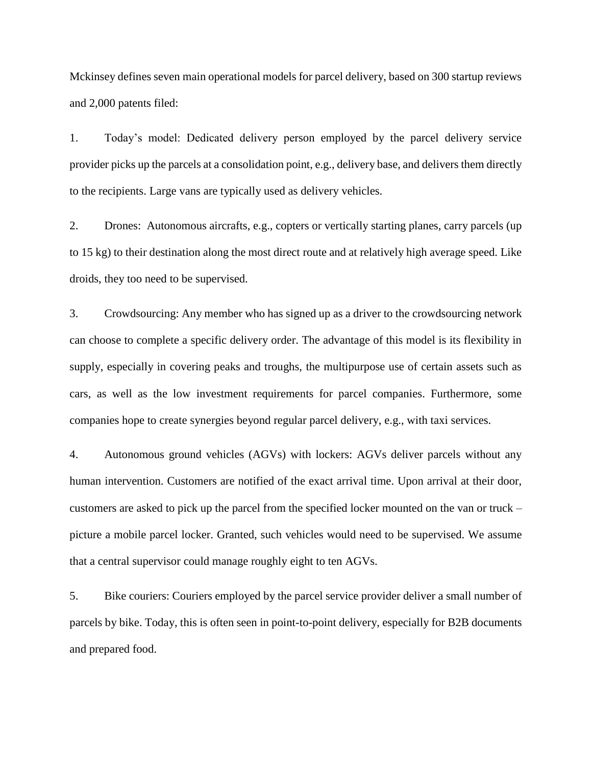Mckinsey defines seven main operational models for parcel delivery, based on 300 startup reviews and 2,000 patents filed:

1. Today's model: Dedicated delivery person employed by the parcel delivery service provider picks up the parcels at a consolidation point, e.g., delivery base, and delivers them directly to the recipients. Large vans are typically used as delivery vehicles.

2. Drones: Autonomous aircrafts, e.g., copters or vertically starting planes, carry parcels (up to 15 kg) to their destination along the most direct route and at relatively high average speed. Like droids, they too need to be supervised.

3. Crowdsourcing: Any member who has signed up as a driver to the crowdsourcing network can choose to complete a specific delivery order. The advantage of this model is its flexibility in supply, especially in covering peaks and troughs, the multipurpose use of certain assets such as cars, as well as the low investment requirements for parcel companies. Furthermore, some companies hope to create synergies beyond regular parcel delivery, e.g., with taxi services.

4. Autonomous ground vehicles (AGVs) with lockers: AGVs deliver parcels without any human intervention. Customers are notified of the exact arrival time. Upon arrival at their door, customers are asked to pick up the parcel from the specified locker mounted on the van or truck – picture a mobile parcel locker. Granted, such vehicles would need to be supervised. We assume that a central supervisor could manage roughly eight to ten AGVs.

5. Bike couriers: Couriers employed by the parcel service provider deliver a small number of parcels by bike. Today, this is often seen in point-to-point delivery, especially for B2B documents and prepared food.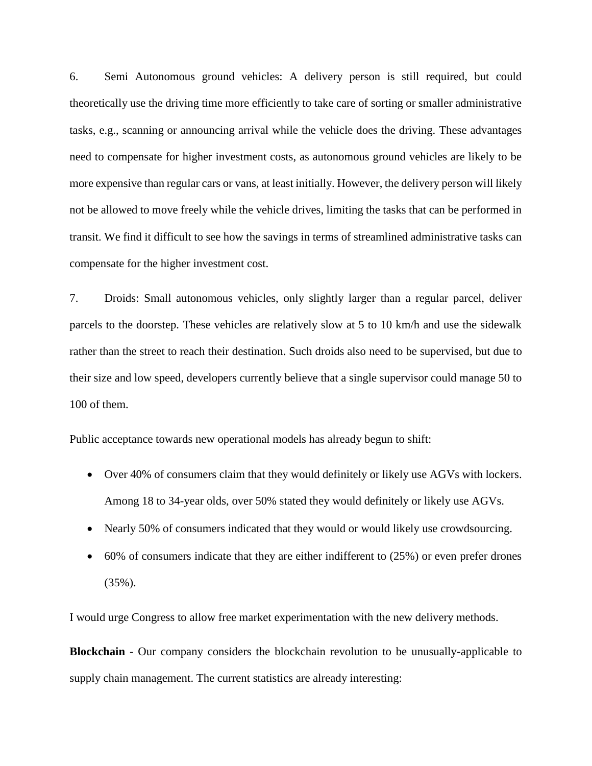6. Semi Autonomous ground vehicles: A delivery person is still required, but could theoretically use the driving time more efficiently to take care of sorting or smaller administrative tasks, e.g., scanning or announcing arrival while the vehicle does the driving. These advantages need to compensate for higher investment costs, as autonomous ground vehicles are likely to be more expensive than regular cars or vans, at least initially. However, the delivery person will likely not be allowed to move freely while the vehicle drives, limiting the tasks that can be performed in transit. We find it difficult to see how the savings in terms of streamlined administrative tasks can compensate for the higher investment cost.

7. Droids: Small autonomous vehicles, only slightly larger than a regular parcel, deliver parcels to the doorstep. These vehicles are relatively slow at 5 to 10 km/h and use the sidewalk rather than the street to reach their destination. Such droids also need to be supervised, but due to their size and low speed, developers currently believe that a single supervisor could manage 50 to 100 of them.

Public acceptance towards new operational models has already begun to shift:

- Over 40% of consumers claim that they would definitely or likely use AGVs with lockers. Among 18 to 34-year olds, over 50% stated they would definitely or likely use AGVs.
- Nearly 50% of consumers indicated that they would or would likely use crowdsourcing.
- 60% of consumers indicate that they are either indifferent to (25%) or even prefer drones (35%).

I would urge Congress to allow free market experimentation with the new delivery methods.

**Blockchain** - Our company considers the blockchain revolution to be unusually-applicable to supply chain management. The current statistics are already interesting: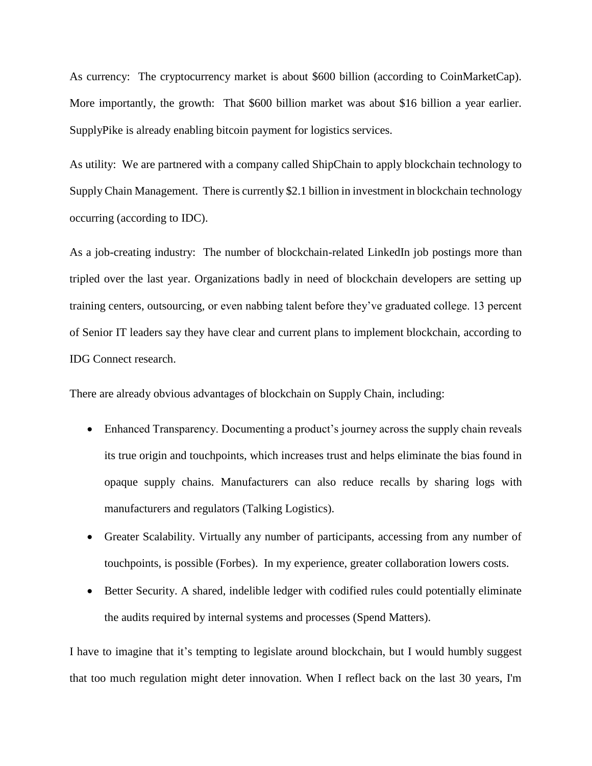As currency: The cryptocurrency market is about \$600 billion (according to CoinMarketCap). More importantly, the growth: That \$600 billion market was about \$16 billion a year earlier. SupplyPike is already enabling bitcoin payment for logistics services.

As utility: We are partnered with a company called ShipChain to apply blockchain technology to Supply Chain Management. There is currently \$2.1 billion in investment in blockchain technology occurring (according to IDC).

As a job-creating industry: The number of blockchain-related LinkedIn job postings more than tripled over the last year. Organizations badly in need of blockchain developers are setting up training centers, outsourcing, or even nabbing talent before they've graduated college. 13 percent of Senior IT leaders say they have clear and current plans to implement blockchain, according to IDG Connect research.

There are already obvious advantages of blockchain on Supply Chain, including:

- Enhanced Transparency. Documenting a product's journey across the supply chain reveals its true origin and touchpoints, which increases trust and helps eliminate the bias found in opaque supply chains. Manufacturers can also reduce recalls by sharing logs with manufacturers and regulators (Talking Logistics).
- Greater Scalability. Virtually any number of participants, accessing from any number of touchpoints, is possible (Forbes). In my experience, greater collaboration lowers costs.
- Better Security. A shared, indelible ledger with codified rules could potentially eliminate the audits required by internal systems and processes (Spend Matters).

I have to imagine that it's tempting to legislate around blockchain, but I would humbly suggest that too much regulation might deter innovation. When I reflect back on the last 30 years, I'm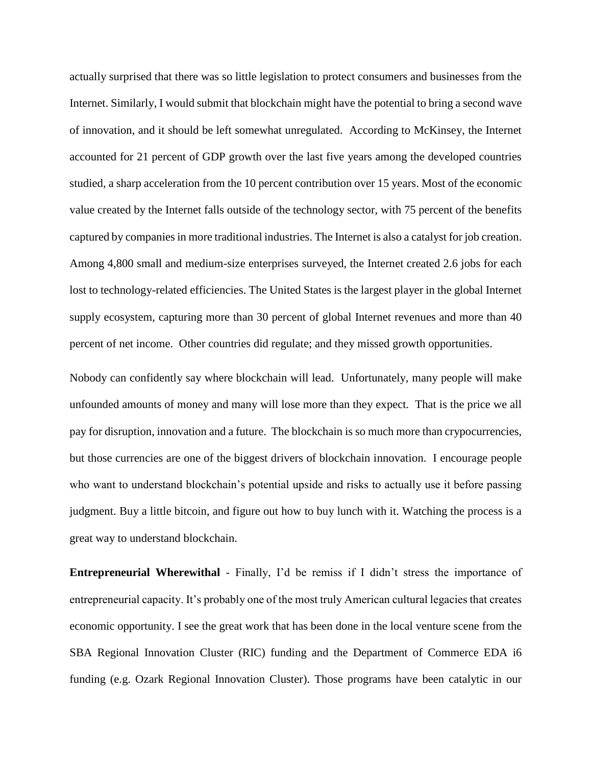actually surprised that there was so little legislation to protect consumers and businesses from the Internet. Similarly, I would submit that blockchain might have the potential to bring a second wave of innovation, and it should be left somewhat unregulated. According to McKinsey, the Internet accounted for 21 percent of GDP growth over the last five years among the developed countries studied, a sharp acceleration from the 10 percent contribution over 15 years. Most of the economic value created by the Internet falls outside of the technology sector, with 75 percent of the benefits captured by companies in more traditional industries. The Internet is also a catalyst for job creation. Among 4,800 small and medium-size enterprises surveyed, the Internet created 2.6 jobs for each lost to technology-related efficiencies. The United States is the largest player in the global Internet supply ecosystem, capturing more than 30 percent of global Internet revenues and more than 40 percent of net income. Other countries did regulate; and they missed growth opportunities.

Nobody can confidently say where blockchain will lead. Unfortunately, many people will make unfounded amounts of money and many will lose more than they expect. That is the price we all pay for disruption, innovation and a future. The blockchain is so much more than crypocurrencies, but those currencies are one of the biggest drivers of blockchain innovation. I encourage people who want to understand blockchain's potential upside and risks to actually use it before passing judgment. Buy a little bitcoin, and figure out how to buy lunch with it. Watching the process is a great way to understand blockchain.

**Entrepreneurial Wherewithal** - Finally, I'd be remiss if I didn't stress the importance of entrepreneurial capacity. It's probably one of the most truly American cultural legacies that creates economic opportunity. I see the great work that has been done in the local venture scene from the SBA Regional Innovation Cluster (RIC) funding and the Department of Commerce EDA i6 funding (e.g. Ozark Regional Innovation Cluster). Those programs have been catalytic in our